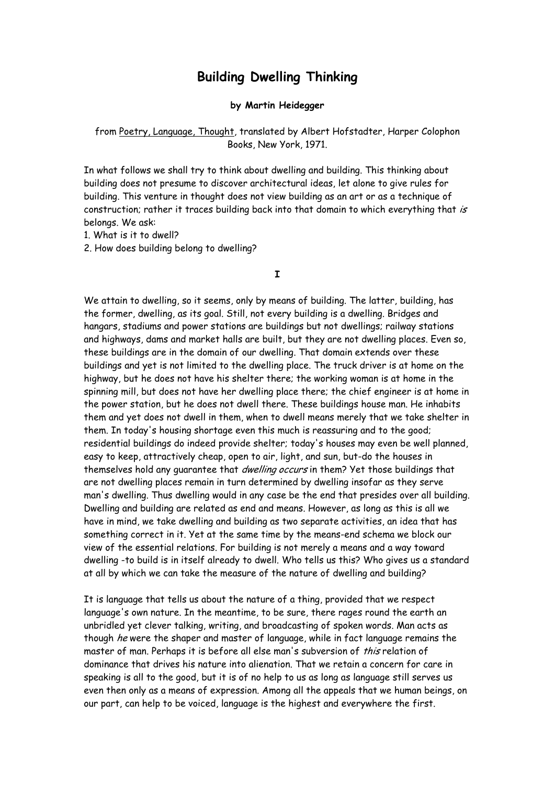## **Building Dwelling Thinking**

## **by [Martin Heidegger](http://students.pratt.edu/%7Earch543p/help/Heidegger.html)**

## from Poetry, Language, Thought, translated by Albert Hofstadter, Harper Colophon Books, New York, 1971.

In what follows we shall try to think about dwelling and building. This thinking about building does not presume to discover architectural ideas, let alone to give rules for building. This venture in thought does not view building as an art or as a technique of construction; rather it traces building back into that domain to which everything that is belongs. We ask:

1. What is it to dwell?

2. How does building belong to dwelling?

**I**

We attain to dwelling, so it seems, only by means of building. The latter, building, has the former, dwelling, as its goal. Still, not every building is a dwelling. Bridges and hangars, stadiums and power stations are buildings but not dwellings; railway stations and highways, dams and market halls are built, but they are not dwelling places. Even so, these buildings are in the domain of our dwelling. That domain extends over these buildings and yet is not limited to the dwelling place. The truck driver is at home on the highway, but he does not have his shelter there; the working woman is at home in the spinning mill, but does not have her dwelling place there; the chief engineer is at home in the power station, but he does not dwell there. These buildings house man. He inhabits them and yet does not dwell in them, when to dwell means merely that we take shelter in them. In today's housing shortage even this much is reassuring and to the good; residential buildings do indeed provide shelter; today's houses may even be well planned, easy to keep, attractively cheap, open to air, light, and sun, but-do the houses in themselves hold any quarantee that *dwelling occurs* in them? Yet those buildings that are not dwelling places remain in turn determined by dwelling insofar as they serve man's dwelling. Thus dwelling would in any case be the end that presides over all building. Dwelling and building are related as end and means. However, as long as this is all we have in mind, we take dwelling and building as two separate activities, an idea that has something correct in it. Yet at the same time by the means-end schema we block our view of the essential relations. For building is not merely a means and a way toward dwelling -to build is in itself already to dwell. Who tells us this? Who gives us a standard at all by which we can take the measure of the nature of dwelling and building?

It is language that tells us about the nature of a thing, provided that we respect language's own nature. In the meantime, to be sure, there rages round the earth an unbridled yet clever talking, writing, and broadcasting of spoken words. Man acts as though *he* were the shaper and master of language, while in fact language remains the master of man. Perhaps it is before all else man's subversion of this relation of dominance that drives his nature into alienation. That we retain a concern for care in speaking is all to the good, but it is of no help to us as long as language still serves us even then only as a means of expression. Among all the appeals that we human beings, on our part, can help to be voiced, language is the highest and everywhere the first.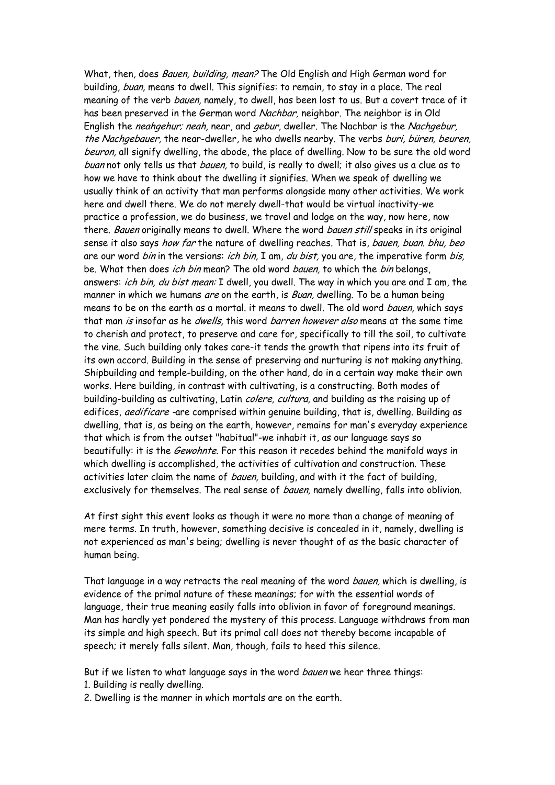What, then, does Bauen, building, mean? The Old English and High German word for building, buan, means to dwell. This signifies: to remain, to stay in a place. The real meaning of the verb bauen, namely, to dwell, has been lost to us. But a covert trace of it has been preserved in the German word Nachbar, neighbor. The neighbor is in Old English the neahgehur; neah, near, and gebur, dweller. The Nachbar is the Nachgebur, the Nachgebauer, the near-dweller, he who dwells nearby. The verbs buri, büren, beuren, beuron, all signify dwelling, the abode, the place of dwelling. Now to be sure the old word buan not only tells us that bauen, to build, is really to dwell; it also gives us a clue as to how we have to think about the dwelling it signifies. When we speak of dwelling we usually think of an activity that man performs alongside many other activities. We work here and dwell there. We do not merely dwell-that would be virtual inactivity-we practice a profession, we do business, we travel and lodge on the way, now here, now there. Bauen originally means to dwell. Where the word bauen still speaks in its original sense it also says how far the nature of dwelling reaches. That is, bauen, buan, bhu, beo are our word bin in the versions: ich bin, I am, du bist, you are, the imperative form bis, be. What then does ich bin mean? The old word bauen, to which the bin belongs, answers: ich bin, du bist mean: I dwell, you dwell. The way in which you are and I am, the manner in which we humans are on the earth, is Buan, dwelling. To be a human being means to be on the earth as a mortal. it means to dwell. The old word bauen, which says that man is insofar as he dwells, this word barren however also means at the same time to cherish and protect, to preserve and care for, specifically to till the soil, to cultivate the vine. Such building only takes care-it tends the growth that ripens into its fruit of its own accord. Building in the sense of preserving and nurturing is not making anything. Shipbuilding and temple-building, on the other hand, do in a certain way make their own works. Here building, in contrast with cultivating, is a constructing. Both modes of building-building as cultivating, Latin *colere, cultura*, and building as the raising up of edifices, aedificare -are comprised within genuine building, that is, dwelling. Building as dwelling, that is, as being on the earth, however, remains for man's everyday experience that which is from the outset "habitual"-we inhabit it, as our language says so beautifully: it is the Gewohnte. For this reason it recedes behind the manifold ways in which dwelling is accomplished, the activities of cultivation and construction. These activities later claim the name of *bauen*, building, and with it the fact of building, exclusively for themselves. The real sense of *bauen*, namely dwelling, falls into oblivion.

At first sight this event looks as though it were no more than a change of meaning of mere terms. In truth, however, something decisive is concealed in it, namely, dwelling is not experienced as man's being; dwelling is never thought of as the basic character of human being.

That language in a way retracts the real meaning of the word bauen, which is dwelling, is evidence of the primal nature of these meanings; for with the essential words of language, their true meaning easily falls into oblivion in favor of foreground meanings. Man has hardly yet pondered the mystery of this process. Language withdraws from man its simple and high speech. But its primal call does not thereby become incapable of speech; it merely falls silent. Man, though, fails to heed this silence.

But if we listen to what language says in the word bauen we hear three things: 1. Building is really dwelling.

2. Dwelling is the manner in which mortals are on the earth.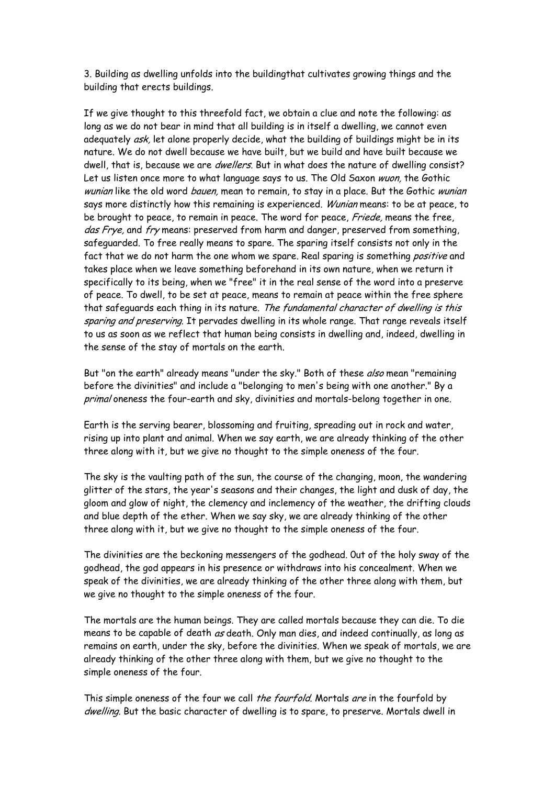3. Building as dwelling unfolds into the buildingthat cultivates growing things and the building that erects buildings.

If we give thought to this threefold fact, we obtain a clue and note the following: as long as we do not bear in mind that all building is in itself a dwelling, we cannot even adequately ask, let alone properly decide, what the building of buildings might be in its nature. We do not dwell because we have built, but we build and have built because we dwell, that is, because we are *dwellers*. But in what does the nature of dwelling consist? Let us listen once more to what language says to us. The Old Saxon wuon, the Gothic wunian like the old word bauen, mean to remain, to stay in a place. But the Gothic wunian says more distinctly how this remaining is experienced. Wunian means: to be at peace, to be brought to peace, to remain in peace. The word for peace, Friede, means the free, das Frye, and fry means: preserved from harm and danger, preserved from something, safeguarded. To free really means to spare. The sparing itself consists not only in the fact that we do not harm the one whom we spare. Real sparing is something *positive* and takes place when we leave something beforehand in its own nature, when we return it specifically to its being, when we "free" it in the real sense of the word into a preserve of peace. To dwell, to be set at peace, means to remain at peace within the free sphere that safeguards each thing in its nature. The fundamental character of dwelling is this sparing and preserving. It pervades dwelling in its whole range. That range reveals itself to us as soon as we reflect that human being consists in dwelling and, indeed, dwelling in the sense of the stay of mortals on the earth.

But "on the earth" already means "under the sky." Both of these also mean "remaining before the divinities" and include a "belonging to men's being with one another." By a primal oneness the four-earth and sky, divinities and mortals-belong together in one.

Earth is the serving bearer, blossoming and fruiting, spreading out in rock and water, rising up into plant and animal. When we say earth, we are already thinking of the other three along with it, but we give no thought to the simple oneness of the four.

The sky is the vaulting path of the sun, the course of the changing, moon, the wandering glitter of the stars, the year's seasons and their changes, the light and dusk of day, the gloom and glow of night, the clemency and inclemency of the weather, the drifting clouds and blue depth of the ether. When we say sky, we are already thinking of the other three along with it, but we give no thought to the simple oneness of the four.

The divinities are the beckoning messengers of the godhead. 0ut of the holy sway of the godhead, the god appears in his presence or withdraws into his concealment. When we speak of the divinities, we are already thinking of the other three along with them, but we give no thought to the simple oneness of the four.

The mortals are the human beings. They are called mortals because they can die. To die means to be capable of death as death. Only man dies, and indeed continually, as long as remains on earth, under the sky, before the divinities. When we speak of mortals, we are already thinking of the other three along with them, but we give no thought to the simple oneness of the four.

This simple oneness of the four we call the fourfold. Mortals are in the fourfold by dwelling. But the basic character of dwelling is to spare, to preserve. Mortals dwell in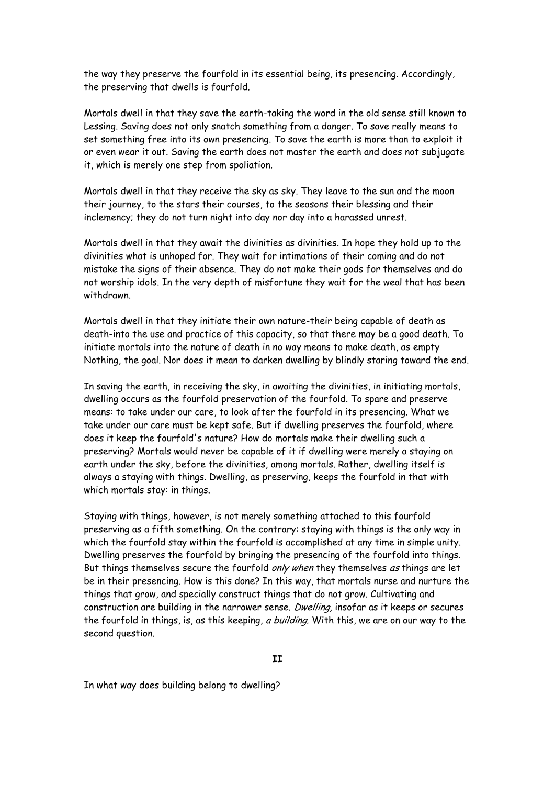the way they preserve the fourfold in its essential being, its presencing. Accordingly, the preserving that dwells is fourfold.

Mortals dwell in that they save the earth-taking the word in the old sense still known to Lessing. Saving does not only snatch something from a danger. To save really means to set something free into its own presencing. To save the earth is more than to exploit it or even wear it out. Saving the earth does not master the earth and does not subjugate it, which is merely one step from spoliation.

Mortals dwell in that they receive the sky as sky. They leave to the sun and the moon their journey, to the stars their courses, to the seasons their blessing and their inclemency; they do not turn night into day nor day into a harassed unrest.

Mortals dwell in that they await the divinities as divinities. In hope they hold up to the divinities what is unhoped for. They wait for intimations of their coming and do not mistake the signs of their absence. They do not make their gods for themselves and do not worship idols. In the very depth of misfortune they wait for the weal that has been withdrawn.

Mortals dwell in that they initiate their own nature-their being capable of death as death-into the use and practice of this capacity, so that there may be a good death. To initiate mortals into the nature of death in no way means to make death, as empty Nothing, the goal. Nor does it mean to darken dwelling by blindly staring toward the end.

In saving the earth, in receiving the sky, in awaiting the divinities, in initiating mortals, dwelling occurs as the fourfold preservation of the fourfold. To spare and preserve means: to take under our care, to look after the fourfold in its presencing. What we take under our care must be kept safe. But if dwelling preserves the fourfold, where does it keep the fourfold's nature? How do mortals make their dwelling such a preserving? Mortals would never be capable of it if dwelling were merely a staying on earth under the sky, before the divinities, among mortals. Rather, dwelling itself is always a staying with things. Dwelling, as preserving, keeps the fourfold in that with which mortals stay: in things.

Staying with things, however, is not merely something attached to this fourfold preserving as a fifth something. On the contrary: staying with things is the only way in which the fourfold stay within the fourfold is accomplished at any time in simple unity. Dwelling preserves the fourfold by bringing the presencing of the fourfold into things. But things themselves secure the fourfold only when they themselves as things are let be in their presencing. How is this done? In this way, that mortals nurse and nurture the things that grow, and specially construct things that do not grow. Cultivating and construction are building in the narrower sense. *Dwelling*, insofar as it keeps or secures the fourfold in things, is, as this keeping, a building. With this, we are on our way to the second question.

**II**

In what way does building belong to dwelling?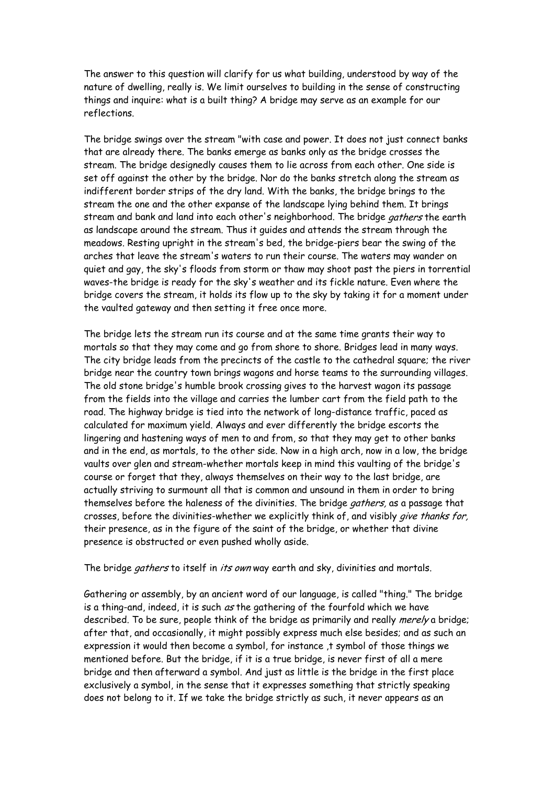The answer to this question will clarify for us what building, understood by way of the nature of dwelling, really is. We limit ourselves to building in the sense of constructing things and inquire: what is a built thing? A bridge may serve as an example for our reflections.

The bridge swings over the stream "with case and power. It does not just connect banks that are already there. The banks emerge as banks only as the bridge crosses the stream. The bridge designedly causes them to lie across from each other. One side is set off against the other by the bridge. Nor do the banks stretch along the stream as indifferent border strips of the dry land. With the banks, the bridge brings to the stream the one and the other expanse of the landscape lying behind them. It brings stream and bank and land into each other's neighborhood. The bridge gathers the earth as landscape around the stream. Thus it guides and attends the stream through the meadows. Resting upright in the stream's bed, the bridge-piers bear the swing of the arches that leave the stream's waters to run their course. The waters may wander on quiet and gay, the sky's floods from storm or thaw may shoot past the piers in torrential waves-the bridge is ready for the sky's weather and its fickle nature. Even where the bridge covers the stream, it holds its flow up to the sky by taking it for a moment under the vaulted gateway and then setting it free once more.

The bridge lets the stream run its course and at the same time grants their way to mortals so that they may come and go from shore to shore. Bridges lead in many ways. The city bridge leads from the precincts of the castle to the cathedral square; the river bridge near the country town brings wagons and horse teams to the surrounding villages. The old stone bridge's humble brook crossing gives to the harvest wagon its passage from the fields into the village and carries the lumber cart from the field path to the road. The highway bridge is tied into the network of long-distance traffic, paced as calculated for maximum yield. Always and ever differently the bridge escorts the lingering and hastening ways of men to and from, so that they may get to other banks and in the end, as mortals, to the other side. Now in a high arch, now in a low, the bridge vaults over glen and stream-whether mortals keep in mind this vaulting of the bridge's course or forget that they, always themselves on their way to the last bridge, are actually striving to surmount all that is common and unsound in them in order to bring themselves before the haleness of the divinities. The bridge *gathers*, as a passage that crosses, before the divinities-whether we explicitly think of, and visibly give thanks for, their presence, as in the figure of the saint of the bridge, or whether that divine presence is obstructed or even pushed wholly aside.

The bridge *gathers* to itself in *its own* way earth and sky, divinities and mortals.

Gathering or assembly, by an ancient word of our language, is called "thing." The bridge is a thing-and, indeed, it is such as the gathering of the fourfold which we have described. To be sure, people think of the bridge as primarily and really *merely* a bridge; after that, and occasionally, it might possibly express much else besides; and as such an expression it would then become a symbol, for instance ,t symbol of those things we mentioned before. But the bridge, if it is a true bridge, is never first of all a mere bridge and then afterward a symbol. And just as little is the bridge in the first place exclusively a symbol, in the sense that it expresses something that strictly speaking does not belong to it. If we take the bridge strictly as such, it never appears as an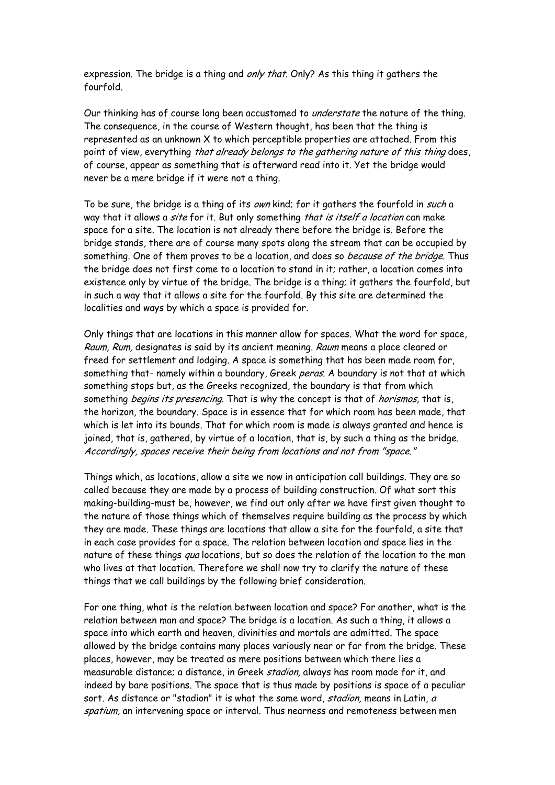expression. The bridge is a thing and only that. Only? As this thing it gathers the fourfold.

Our thinking has of course long been accustomed to *understate* the nature of the thing. The consequence, in the course of Western thought, has been that the thing is represented as an unknown X to which perceptible properties are attached. From this point of view, everything that already belongs to the gathering nature of this thing does, of course, appear as something that is afterward read into it. Yet the bridge would never be a mere bridge if it were not a thing.

To be sure, the bridge is a thing of its own kind; for it gathers the fourfold in such a way that it allows a site for it. But only something that is itself a location can make space for a site. The location is not already there before the bridge is. Before the bridge stands, there are of course many spots along the stream that can be occupied by something. One of them proves to be a location, and does so *because of the bridge*. Thus the bridge does not first come to a location to stand in it; rather, a location comes into existence only by virtue of the bridge. The bridge is a thing; it gathers the fourfold, but in such a way that it allows a site for the fourfold. By this site are determined the localities and ways by which a space is provided for.

Only things that are locations in this manner allow for spaces. What the word for space, Raum, Rum, designates is said by its ancient meaning. Raum means a place cleared or freed for settlement and lodging. A space is something that has been made room for, something that- namely within a boundary, Greek peras. A boundary is not that at which something stops but, as the Greeks recognized, the boundary is that from which something begins its presencing. That is why the concept is that of horismos, that is, the horizon, the boundary. Space is in essence that for which room has been made, that which is let into its bounds. That for which room is made is always granted and hence is joined, that is, gathered, by virtue of a location, that is, by such a thing as the bridge. Accordingly, spaces receive their being from locations and not from "space."

Things which, as locations, allow a site we now in anticipation call buildings. They are so called because they are made by a process of building construction. Of what sort this making-building-must be, however, we find out only after we have first given thought to the nature of those things which of themselves require building as the process by which they are made. These things are locations that allow a site for the fourfold, a site that in each case provides for a space. The relation between location and space lies in the nature of these things qua locations, but so does the relation of the location to the man who lives at that location. Therefore we shall now try to clarify the nature of these things that we call buildings by the following brief consideration.

For one thing, what is the relation between location and space? For another, what is the relation between man and space? The bridge is a location. As such a thing, it allows a space into which earth and heaven, divinities and mortals are admitted. The space allowed by the bridge contains many places variously near or far from the bridge. These places, however, may be treated as mere positions between which there lies a measurable distance; a distance, in Greek stadion, always has room made for it, and indeed by bare positions. The space that is thus made by positions is space of a peculiar sort. As distance or "stadion" it is what the same word, stadion, means in Latin, a spatium, an intervening space or interval. Thus nearness and remoteness between men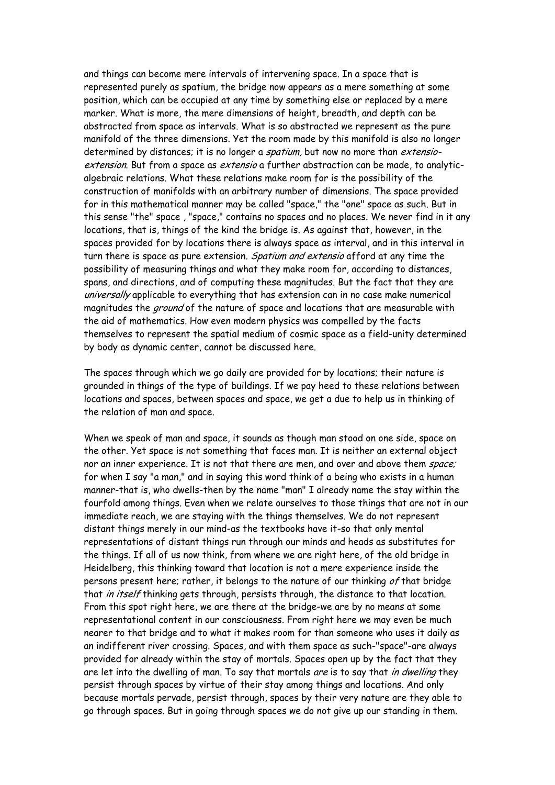and things can become mere intervals of intervening space. In a space that is represented purely as spatium, the bridge now appears as a mere something at some position, which can be occupied at any time by something else or replaced by a mere marker. What is more, the mere dimensions of height, breadth, and depth can be abstracted from space as intervals. What is so abstracted we represent as the pure manifold of the three dimensions. Yet the room made by this manifold is also no longer determined by distances; it is no longer a *spatium*, but now no more than extensioextension. But from a space as extensio a further abstraction can be made, to analyticalgebraic relations. What these relations make room for is the possibility of the construction of manifolds with an arbitrary number of dimensions. The space provided for in this mathematical manner may be called "space," the "one" space as such. But in this sense "the" space , "space," contains no spaces and no places. We never find in it any locations, that is, things of the kind the bridge is. As against that, however, in the spaces provided for by locations there is always space as interval, and in this interval in turn there is space as pure extension. Spatium and extensio afford at any time the possibility of measuring things and what they make room for, according to distances, spans, and directions, and of computing these magnitudes. But the fact that they are universally applicable to everything that has extension can in no case make numerical magnitudes the *ground* of the nature of space and locations that are measurable with the aid of mathematics. How even modern physics was compelled by the facts themselves to represent the spatial medium of cosmic space as a field-unity determined by body as dynamic center, cannot be discussed here.

The spaces through which we go daily are provided for by locations; their nature is grounded in things of the type of buildings. If we pay heed to these relations between locations and spaces, between spaces and space, we get a due to help us in thinking of the relation of man and space.

When we speak of man and space, it sounds as though man stood on one side, space on the other. Yet space is not something that faces man. It is neither an external object nor an inner experience. It is not that there are men, and over and above them space; for when I say "a man," and in saying this word think of a being who exists in a human manner-that is, who dwells-then by the name "man" I already name the stay within the fourfold among things. Even when we relate ourselves to those things that are not in our immediate reach, we are staying with the things themselves. We do not represent distant things merely in our mind-as the textbooks have it-so that only mental representations of distant things run through our minds and heads as substitutes for the things. If all of us now think, from where we are right here, of the old bridge in Heidelberg, this thinking toward that location is not a mere experience inside the persons present here; rather, it belongs to the nature of our thinking of that bridge that in itself thinking gets through, persists through, the distance to that location. From this spot right here, we are there at the bridge-we are by no means at some representational content in our consciousness. From right here we may even be much nearer to that bridge and to what it makes room for than someone who uses it daily as an indifferent river crossing. Spaces, and with them space as such-"space"-are always provided for already within the stay of mortals. Spaces open up by the fact that they are let into the dwelling of man. To say that mortals *are* is to say that *in dwelling* they persist through spaces by virtue of their stay among things and locations. And only because mortals pervade, persist through, spaces by their very nature are they able to go through spaces. But in going through spaces we do not give up our standing in them.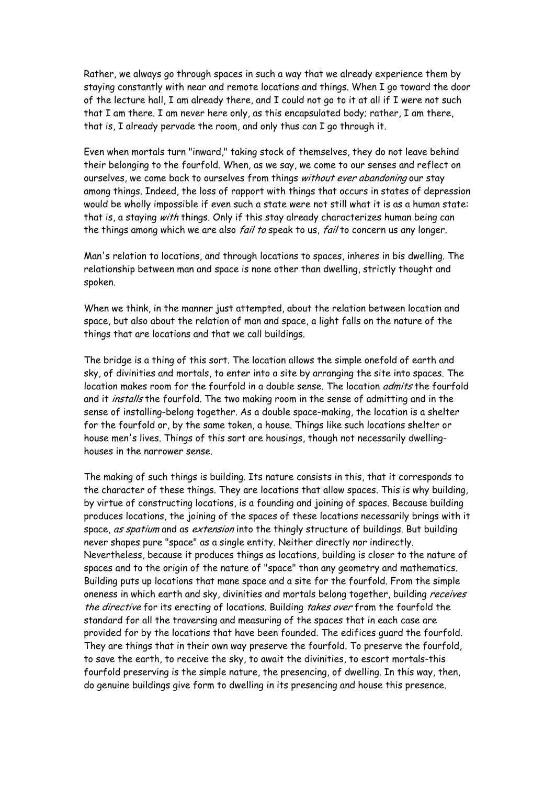Rather, we always go through spaces in such a way that we already experience them by staying constantly with near and remote locations and things. When I go toward the door of the lecture hall, I am already there, and I could not go to it at all if I were not such that I am there. I am never here only, as this encapsulated body; rather, I am there, that is, I already pervade the room, and only thus can I go through it.

Even when mortals turn "inward," taking stock of themselves, they do not leave behind their belonging to the fourfold. When, as we say, we come to our senses and reflect on ourselves, we come back to ourselves from things without ever abandoning our stay among things. Indeed, the loss of rapport with things that occurs in states of depression would be wholly impossible if even such a state were not still what it is as a human state: that is, a staying with things. Only if this stay already characterizes human being can the things among which we are also *fail to* speak to us, *fail* to concern us any longer.

Man's relation to locations, and through locations to spaces, inheres in bis dwelling. The relationship between man and space is none other than dwelling, strictly thought and spoken.

When we think, in the manner just attempted, about the relation between location and space, but also about the relation of man and space, a light falls on the nature of the things that are locations and that we call buildings.

The bridge is a thing of this sort. The location allows the simple onefold of earth and sky, of divinities and mortals, to enter into a site by arranging the site into spaces. The location makes room for the fourfold in a double sense. The location *admits* the fourfold and it installs the fourfold. The two making room in the sense of admitting and in the sense of installing-belong together. As a double space-making, the location is a shelter for the fourfold or, by the same token, a house. Things like such locations shelter or house men's lives. Things of this sort are housings, though not necessarily dwellinghouses in the narrower sense.

The making of such things is building. Its nature consists in this, that it corresponds to the character of these things. They are locations that allow spaces. This is why building, by virtue of constructing locations, is a founding and joining of spaces. Because building produces locations, the joining of the spaces of these locations necessarily brings with it space, as spatium and as extension into the thingly structure of buildings. But building never shapes pure "space" as a single entity. Neither directly nor indirectly. Nevertheless, because it produces things as locations, building is closer to the nature of spaces and to the origin of the nature of "space" than any geometry and mathematics. Building puts up locations that mane space and a site for the fourfold. From the simple oneness in which earth and sky, divinities and mortals belong together, building receives the directive for its erecting of locations. Building takes over from the fourfold the standard for all the traversing and measuring of the spaces that in each case are provided for by the locations that have been founded. The edifices guard the fourfold. They are things that in their own way preserve the fourfold. To preserve the fourfold, to save the earth, to receive the sky, to await the divinities, to escort mortals-this fourfold preserving is the simple nature, the presencing, of dwelling. In this way, then, do genuine buildings give form to dwelling in its presencing and house this presence.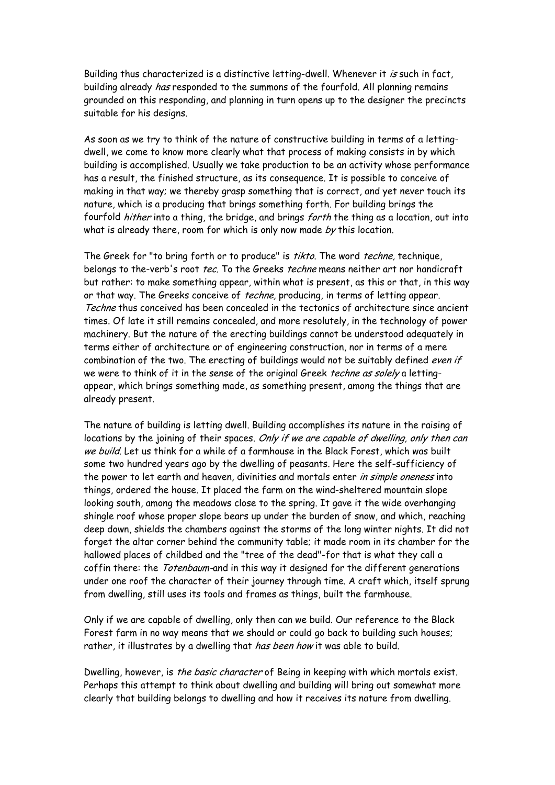Building thus characterized is a distinctive letting-dwell. Whenever it is such in fact, building already *has* responded to the summons of the fourfold. All planning remains grounded on this responding, and planning in turn opens up to the designer the precincts suitable for his designs.

As soon as we try to think of the nature of constructive building in terms of a lettingdwell, we come to know more clearly what that process of making consists in by which building is accomplished. Usually we take production to be an activity whose performance has a result, the finished structure, as its consequence. It is possible to conceive of making in that way; we thereby grasp something that is correct, and yet never touch its nature, which is a producing that brings something forth. For building brings the fourfold *hither* into a thing, the bridge, and brings *forth* the thing as a location, out into what is already there, room for which is only now made by this location.

The Greek for "to bring forth or to produce" is *tikto*. The word *techne*, technique, belongs to the-verb's root tec. To the Greeks techne means neither art nor handicraft but rather: to make something appear, within what is present, as this or that, in this way or that way. The Greeks conceive of *techne*, producing, in terms of letting appear. Techne thus conceived has been concealed in the tectonics of architecture since ancient times. Of late it still remains concealed, and more resolutely, in the technology of power machinery. But the nature of the erecting buildings cannot be understood adequately in terms either of architecture or of engineering construction, nor in terms of a mere combination of the two. The erecting of buildings would not be suitably defined even if we were to think of it in the sense of the original Greek techne as solely a lettingappear, which brings something made, as something present, among the things that are already present.

The nature of building is letting dwell. Building accomplishes its nature in the raising of locations by the joining of their spaces. Only if we are capable of dwelling, only then can we build. Let us think for a while of a farmhouse in the Black Forest, which was built some two hundred years ago by the dwelling of peasants. Here the self-sufficiency of the power to let earth and heaven, divinities and mortals enter in simple oneness into things, ordered the house. It placed the farm on the wind-sheltered mountain slope looking south, among the meadows close to the spring. It gave it the wide overhanging shingle roof whose proper slope bears up under the burden of snow, and which, reaching deep down, shields the chambers against the storms of the long winter nights. It did not forget the altar corner behind the community table; it made room in its chamber for the hallowed places of childbed and the "tree of the dead"-for that is what they call a coffin there: the Totenbaum-and in this way it designed for the different generations under one roof the character of their journey through time. A craft which, itself sprung from dwelling, still uses its tools and frames as things, built the farmhouse.

Only if we are capable of dwelling, only then can we build. Our reference to the Black Forest farm in no way means that we should or could go back to building such houses; rather, it illustrates by a dwelling that has been how it was able to build.

Dwelling, however, is the basic character of Being in keeping with which mortals exist. Perhaps this attempt to think about dwelling and building will bring out somewhat more clearly that building belongs to dwelling and how it receives its nature from dwelling.